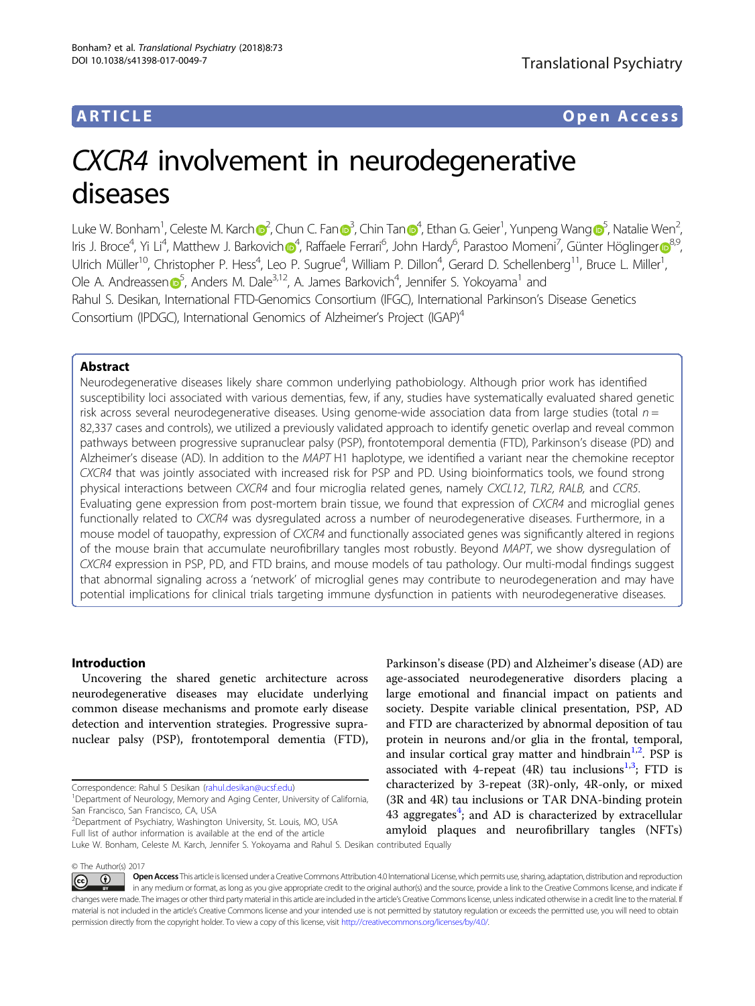**Translational Psychiatry** 

# ARTICLE Open Access

# CXCR4 involvement in neurodegenerative diseases

Luke W. Bon[h](http://orcid.org/0000-0002-6854-5547)am<sup>1</sup>, Celeste M. Karch <mark>o</mark>f, Chu[n](http://orcid.org/0000-0002-0980-9936) C. Fan <mark>o</mark>f, Chin Tan **o**f, Ethan G. Geier<sup>1</sup>, Yunpeng Wang of, Natalie Wen<sup>[2](http://orcid.org/0000-0002-6854-5547)</sup> .<br>, Iris J. Broce<sup>4</sup>, Yi Li<sup>4</sup>, Matt[h](http://orcid.org/0000-0002-8257-423X)ew J. Barkovich <sup>[4](http://orcid.org/0000-0002-8257-423X)</sup>, Raffaele Ferrari<sup>6</sup>, John Hardy<sup>6</sup>, Parastoo Momeni<sup>7</sup>, Günter Höglinger <sup>[8](http://orcid.org/0000-0001-7587-6187),9</sup>, Ulrich Müller<sup>10</sup>, Christopher P. Hess<sup>4</sup>, Leo P. Sugrue<sup>4</sup>, William P. Dillon<sup>4</sup>, Gerard D. Schellenberg<sup>11</sup>, Bruce L. Miller<sup>1</sup> , Ole A. A[n](http://orcid.org/0000-0002-4461-3568)dreassen $\circledcirc^5$  $\circledcirc^5$ , Anders M. Dale<sup>3,12</sup>, A. James Barkovich<sup>4</sup>, Jennifer S. Yokoyama<sup>1</sup> and Rahul S. Desikan, International FTD-Genomics Consortium (IFGC), International Parkinson's Disease Genetics Consortium (IPDGC), International Genomics of Alzheimer's Project (IGAP)4

# Abstract

Neurodegenerative diseases likely share common underlying pathobiology. Although prior work has identified susceptibility loci associated with various dementias, few, if any, studies have systematically evaluated shared genetic risk across several neurodegenerative diseases. Using genome-wide association data from large studies (total  $n =$ 82,337 cases and controls), we utilized a previously validated approach to identify genetic overlap and reveal common pathways between progressive supranuclear palsy (PSP), frontotemporal dementia (FTD), Parkinson's disease (PD) and Alzheimer's disease (AD). In addition to the MAPT H1 haplotype, we identified a variant near the chemokine receptor CXCR4 that was jointly associated with increased risk for PSP and PD. Using bioinformatics tools, we found strong physical interactions between CXCR4 and four microglia related genes, namely CXCL12, TLR2, RALB, and CCR5. Evaluating gene expression from post-mortem brain tissue, we found that expression of CXCR4 and microglial genes functionally related to CXCR4 was dysregulated across a number of neurodegenerative diseases. Furthermore, in a mouse model of tauopathy, expression of CXCR4 and functionally associated genes was significantly altered in regions of the mouse brain that accumulate neurofibrillary tangles most robustly. Beyond MAPT, we show dysregulation of CXCR4 expression in PSP, PD, and FTD brains, and mouse models of tau pathology. Our multi-modal findings suggest that abnormal signaling across a 'network' of microglial genes may contribute to neurodegeneration and may have potential implications for clinical trials targeting immune dysfunction in patients with neurodegenerative diseases.

#### Introduction

Uncovering the shared genetic architecture across neurodegenerative diseases may elucidate underlying common disease mechanisms and promote early disease detection and intervention strategies. Progressive supranuclear palsy (PSP), frontotemporal dementia (FTD),

Correspondence: Rahul S Desikan [\(rahul.desikan@ucsf.edu\)](mailto:rahul.desikan@ucsf.edu) <sup>1</sup>

<sup>2</sup>Department of Psychiatry, Washington University, St. Louis, MO, USA Full list of author information is available at the end of the article

Parkinson's disease (PD) and Alzheimer's disease (AD) are age-associated neurodegenerative disorders placing a large emotional and financial impact on patients and society. Despite variable clinical presentation, PSP, AD and FTD are characterized by abnormal deposition of tau protein in neurons and/or glia in the frontal, temporal, and insular cortical gray matter and hindbrain $1,2$ . PSP is associated with 4-repeat (4R) tau inclusions $1,3$  $1,3$  $1,3$ ; FTD is characterized by 3-repeat (3R)-only, 4R-only, or mixed (3R and 4R) tau inclusions or TAR DNA-binding protein [4](#page-7-0)3 aggregates<sup>4</sup>; and AD is characterized by extracellular amyloid plaques and neurofibrillary tangles (NFTs)

© The Author(s) 2017

 $\odot$   $\odot$ Open Access This article is licensed under a Creative Commons Attribution 4.0 International License, which permits use, sharing, adaptation, distribution and reproduction in any medium or format, as long as you give appropriate credit to the original author(s) and the source, provide a link to the Creative Commons license, and indicate if changes were made. The images or other third party material in this article are included in the article's Creative Commons license, unless indicated otherwise in a credit line to the material. If material is not included in the article's Creative Commons license and your intended use is not permitted by statutory regulation or exceeds the permitted use, you will need to obtain permission directly from the copyright holder. To view a copy of this license, visit <http://creativecommons.org/licenses/by/4.0/>.

<sup>&</sup>lt;sup>1</sup>Department of Neurology, Memory and Aging Center, University of California, San Francisco, San Francisco, CA, USA

Luke W. Bonham, Celeste M. Karch, Jennifer S. Yokoyama and Rahul S. Desikan contributed Equally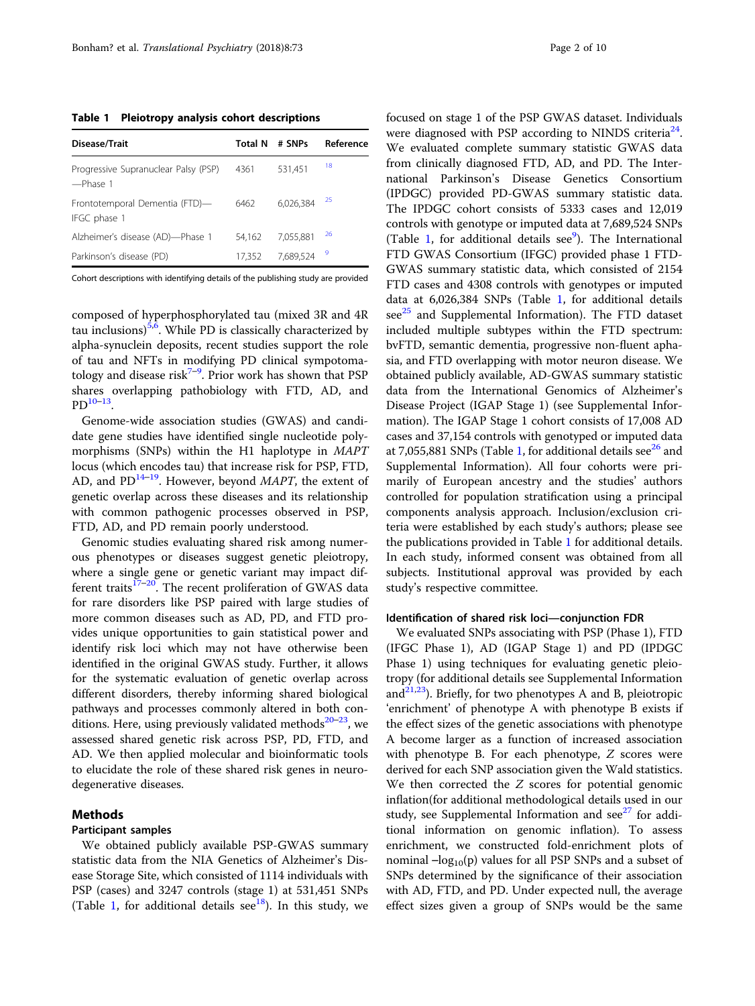Table 1 Pleiotropy analysis cohort descriptions

| Disease/Trait                                    | Total N | # SNPs    | Reference |
|--------------------------------------------------|---------|-----------|-----------|
| Progressive Supranuclear Palsy (PSP)<br>-Phase 1 | 4361    | 531,451   | 18        |
| Frontotemporal Dementia (FTD)-<br>IFGC phase 1   | 6462    | 6.026.384 | - 25      |
| Alzheimer's disease (AD)-Phase 1                 | 54.162  | 7.055.881 | 26        |
| Parkinson's disease (PD)                         | 17,352  | 7,689,524 | 9         |

Cohort descriptions with identifying details of the publishing study are provided

composed of hyperphosphorylated tau (mixed 3R and 4R tau inclusions)<sup>[5,6](#page-7-0)</sup>. While PD is classically characterized by alpha-synuclein deposits, recent studies support the role of tau and NFTs in modifying PD clinical sympotoma-tology and disease risk<sup>[7](#page-8-0)-[9](#page-8-0)</sup>. Prior work has shown that PSP shares overlapping pathobiology with FTD, AD, and  $PD^{10-13}$ .

Genome-wide association studies (GWAS) and candidate gene studies have identified single nucleotide polymorphisms (SNPs) within the H1 haplotype in MAPT locus (which encodes tau) that increase risk for PSP, FTD, AD, and  $PD^{14-19}$  $PD^{14-19}$  $PD^{14-19}$ . However, beyond *MAPT*, the extent of genetic overlap across these diseases and its relationship with common pathogenic processes observed in PSP, FTD, AD, and PD remain poorly understood.

Genomic studies evaluating shared risk among numerous phenotypes or diseases suggest genetic pleiotropy, where a single gene or genetic variant may impact different traits $17-20$  $17-20$ . The recent proliferation of GWAS data for rare disorders like PSP paired with large studies of more common diseases such as AD, PD, and FTD provides unique opportunities to gain statistical power and identify risk loci which may not have otherwise been identified in the original GWAS study. Further, it allows for the systematic evaluation of genetic overlap across different disorders, thereby informing shared biological pathways and processes commonly altered in both conditions. Here, using previously validated methods $20-23$  $20-23$ , we assessed shared genetic risk across PSP, PD, FTD, and AD. We then applied molecular and bioinformatic tools to elucidate the role of these shared risk genes in neurodegenerative diseases.

# Methods

#### Participant samples

We obtained publicly available PSP-GWAS summary statistic data from the NIA Genetics of Alzheimer's Disease Storage Site, which consisted of 1114 individuals with PSP (cases) and 3247 controls (stage 1) at 531,451 SNPs (Table 1, for additional details see<sup>[18](#page-8-0)</sup>). In this study, we focused on stage 1 of the PSP GWAS dataset. Individuals were diagnosed with PSP according to NINDS criteria<sup>[24](#page-8-0)</sup>. We evaluated complete summary statistic GWAS data from clinically diagnosed FTD, AD, and PD. The International Parkinson's Disease Genetics Consortium (IPDGC) provided PD-GWAS summary statistic data. The IPDGC cohort consists of 5333 cases and 12,019 controls with genotype or imputed data at 7,689,524 SNPs (Table 1, for additional details see $9$ ). The International FTD GWAS Consortium (IFGC) provided phase 1 FTD-GWAS summary statistic data, which consisted of 2154 FTD cases and 4308 controls with genotypes or imputed data at 6,026,384 SNPs (Table 1, for additional details  $\sec^{25}$  $\sec^{25}$  $\sec^{25}$  and Supplemental Information). The FTD dataset included multiple subtypes within the FTD spectrum: bvFTD, semantic dementia, progressive non-fluent aphasia, and FTD overlapping with motor neuron disease. We obtained publicly available, AD-GWAS summary statistic data from the International Genomics of Alzheimer's Disease Project (IGAP Stage 1) (see Supplemental Information). The IGAP Stage 1 cohort consists of 17,008 AD cases and 37,154 controls with genotyped or imputed data at 7,055,881 SNPs (Table 1, for additional details see $^{26}$  $^{26}$  $^{26}$  and Supplemental Information). All four cohorts were primarily of European ancestry and the studies' authors controlled for population stratification using a principal components analysis approach. Inclusion/exclusion criteria were established by each study's authors; please see the publications provided in Table 1 for additional details. In each study, informed consent was obtained from all subjects. Institutional approval was provided by each study's respective committee.

#### Identification of shared risk loci—conjunction FDR

We evaluated SNPs associating with PSP (Phase 1), FTD (IFGC Phase 1), AD (IGAP Stage 1) and PD (IPDGC Phase 1) using techniques for evaluating genetic pleiotropy (for additional details see Supplemental Information and $^{21,23}$  $^{21,23}$  $^{21,23}$ ). Briefly, for two phenotypes A and B, pleiotropic 'enrichment' of phenotype A with phenotype B exists if the effect sizes of the genetic associations with phenotype A become larger as a function of increased association with phenotype B. For each phenotype, Z scores were derived for each SNP association given the Wald statistics. We then corrected the Z scores for potential genomic inflation(for additional methodological details used in our study, see Supplemental Information and  $\sec^{27}$  for additional information on genomic inflation). To assess enrichment, we constructed fold-enrichment plots of nominal  $-log_{10}(p)$  values for all PSP SNPs and a subset of SNPs determined by the significance of their association with AD, FTD, and PD. Under expected null, the average effect sizes given a group of SNPs would be the same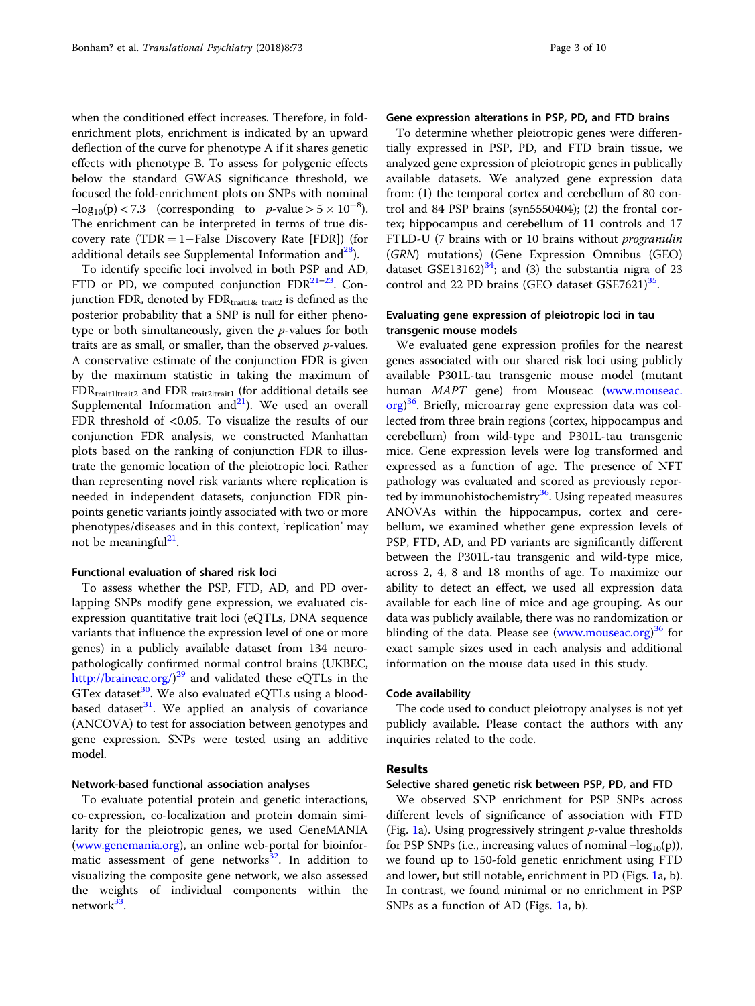when the conditioned effect increases. Therefore, in foldenrichment plots, enrichment is indicated by an upward deflection of the curve for phenotype A if it shares genetic effects with phenotype B. To assess for polygenic effects below the standard GWAS significance threshold, we focused the fold-enrichment plots on SNPs with nominal  $-\log_{10}(p) < 7.3$  (corresponding to *p*-value >  $5 \times 10^{-8}$ ).<br>The enrichment can be interpreted in terms of true dis-The enrichment can be interpreted in terms of true discovery rate (TDR = 1–False Discovery Rate [FDR]) (for additional details see Supplemental Information and  $28$ ).

To identify specific loci involved in both PSP and AD, FTD or PD, we computed conjunction  $FDR<sup>21-23</sup>$  $FDR<sup>21-23</sup>$  $FDR<sup>21-23</sup>$  $FDR<sup>21-23</sup>$  $FDR<sup>21-23</sup>$ . Conjunction FDR, denoted by  $FDR_{\text{trail 2}}$  is defined as the posterior probability that a SNP is null for either phenotype or both simultaneously, given the  $p$ -values for both traits are as small, or smaller, than the observed  $p$ -values. A conservative estimate of the conjunction FDR is given by the maximum statistic in taking the maximum of  $\text{FDR}_{\text{trait1}| \text{trait2}}$  and  $\text{FDR}_{\text{trait2}| \text{trait1}}$  (for additional details see Supplemental Information and $^{21}$  $^{21}$  $^{21}$ ). We used an overall FDR threshold of <0.05. To visualize the results of our conjunction FDR analysis, we constructed Manhattan plots based on the ranking of conjunction FDR to illustrate the genomic location of the pleiotropic loci. Rather than representing novel risk variants where replication is needed in independent datasets, conjunction FDR pinpoints genetic variants jointly associated with two or more phenotypes/diseases and in this context, 'replication' may not be meaningful $^{21}$  $^{21}$  $^{21}$ .

#### Functional evaluation of shared risk loci

To assess whether the PSP, FTD, AD, and PD overlapping SNPs modify gene expression, we evaluated cisexpression quantitative trait loci (eQTLs, DNA sequence variants that influence the expression level of one or more genes) in a publicly available dataset from 134 neuropathologically confirmed normal control brains (UKBEC, <http://braineac.org/>)<sup>[29](#page-8-0)</sup> and validated these eQTLs in the GTex dataset<sup>[30](#page-8-0)</sup>. We also evaluated eQTLs using a bloodbased dataset $31$ . We applied an analysis of covariance (ANCOVA) to test for association between genotypes and gene expression. SNPs were tested using an additive model.

# Network-based functional association analyses

To evaluate potential protein and genetic interactions, co-expression, co-localization and protein domain similarity for the pleiotropic genes, we used GeneMANIA ([www.genemania.org\)](http://www.genemania.org), an online web-portal for bioinformatic assessment of gene networks $32$ . In addition to visualizing the composite gene network, we also assessed the weights of individual components within the network $33$ .

#### Gene expression alterations in PSP, PD, and FTD brains

To determine whether pleiotropic genes were differentially expressed in PSP, PD, and FTD brain tissue, we analyzed gene expression of pleiotropic genes in publically available datasets. We analyzed gene expression data from: (1) the temporal cortex and cerebellum of 80 control and 84 PSP brains (syn5550404); (2) the frontal cortex; hippocampus and cerebellum of 11 controls and 17 FTLD-U (7 brains with or 10 brains without *progranulin* (GRN) mutations) (Gene Expression Omnibus (GEO) dataset GSE13162) $^{34}$ ; and (3) the substantia nigra of 23 control and 22 PD brains (GEO dataset  $GSE7621$ )<sup>35</sup>.

# Evaluating gene expression of pleiotropic loci in tau transgenic mouse models

We evaluated gene expression profiles for the nearest genes associated with our shared risk loci using publicly available P301L-tau transgenic mouse model (mutant human MAPT gene) from Mouseac [\(www.mouseac.](http://www.mouseac.org) [org](http://www.mouseac.org)) [36.](#page-8-0) Briefly, microarray gene expression data was collected from three brain regions (cortex, hippocampus and cerebellum) from wild-type and P301L-tau transgenic mice. Gene expression levels were log transformed and expressed as a function of age. The presence of NFT pathology was evaluated and scored as previously repor-ted by immunohistochemistry<sup>[36](#page-8-0)</sup>. Using repeated measures ANOVAs within the hippocampus, cortex and cerebellum, we examined whether gene expression levels of PSP, FTD, AD, and PD variants are significantly different between the P301L-tau transgenic and wild-type mice, across 2, 4, 8 and 18 months of age. To maximize our ability to detect an effect, we used all expression data available for each line of mice and age grouping. As our data was publicly available, there was no randomization or blinding of the data. Please see [\(www.mouseac.org](http://www.mouseac.org))<sup>[36](#page-8-0)</sup> for exact sample sizes used in each analysis and additional information on the mouse data used in this study.

#### Code availability

The code used to conduct pleiotropy analyses is not yet publicly available. Please contact the authors with any inquiries related to the code.

# Results

#### Selective shared genetic risk between PSP, PD, and FTD

We observed SNP enrichment for PSP SNPs across different levels of significance of association with FTD (Fig. [1](#page-3-0)a). Using progressively stringent  $p$ -value thresholds for PSP SNPs (i.e., increasing values of nominal  $-log_{10}(p)$ ), we found up to 150-fold genetic enrichment using FTD and lower, but still notable, enrichment in PD (Figs. [1](#page-3-0)a, b). In contrast, we found minimal or no enrichment in PSP SNPs as a function of AD (Figs. [1a](#page-3-0), b).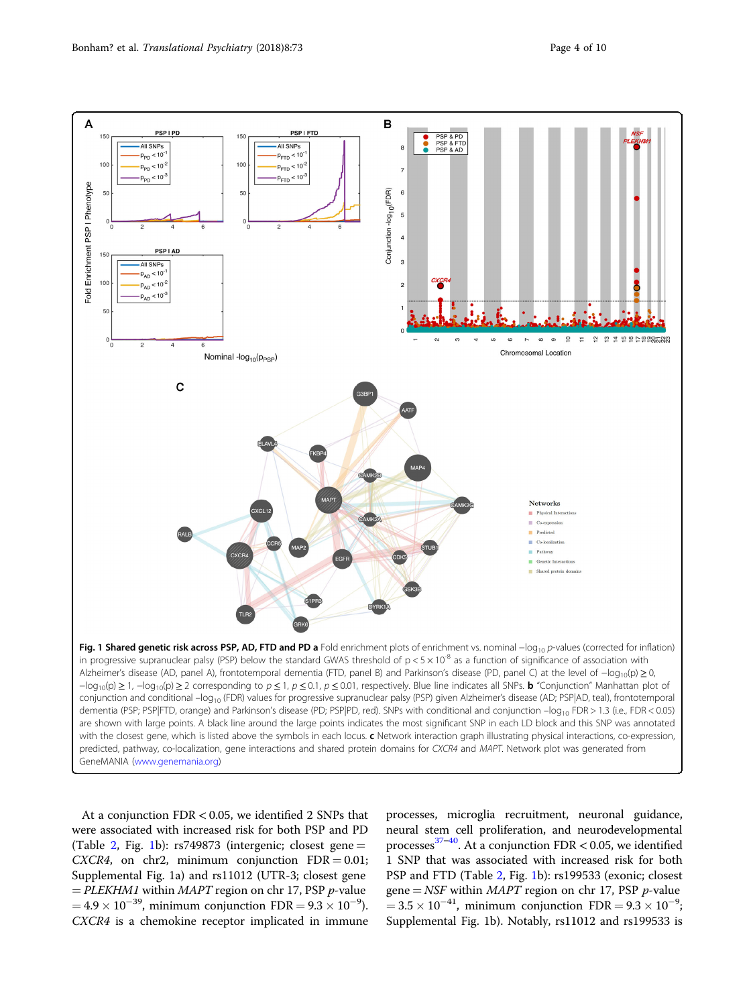<span id="page-3-0"></span>

At a conjunction FDR < 0.05, we identified 2 SNPs that were associated with increased risk for both PSP and PD (Table [2](#page-4-0), Fig. 1b): rs749873 (intergenic; closest gene = CXCR4, on chr2, minimum conjunction  $FDR = 0.01$ ; Supplemental Fig. 1a) and rs11012 (UTR-3; closest gene  $= PLEKHMI$  within MAPT region on chr 17, PSP p-value  $= 4.9 \times 10^{-39}$ , minimum conjunction FDR =  $9.3 \times 10^{-9}$ ). CXCR4 is a chemokine receptor implicated in immune

processes, microglia recruitment, neuronal guidance, neural stem cell proliferation, and neurodevelopmental processes<sup>[37](#page-8-0)–[40](#page-8-0)</sup>. At a conjunction FDR < 0.05, we identified 1 SNP that was associated with increased risk for both PSP and FTD (Table [2,](#page-4-0) Fig. 1b): rs199533 (exonic; closest gene =  $NSF$  within  $MAPT$  region on chr 17, PSP *p*-value  $= 3.5 \times 10^{-41}$ , minimum conjunction FDR =  $9.3 \times 10^{-9}$ ; Supplemental Fig. 1b). Notably, rs11012 and rs199533 is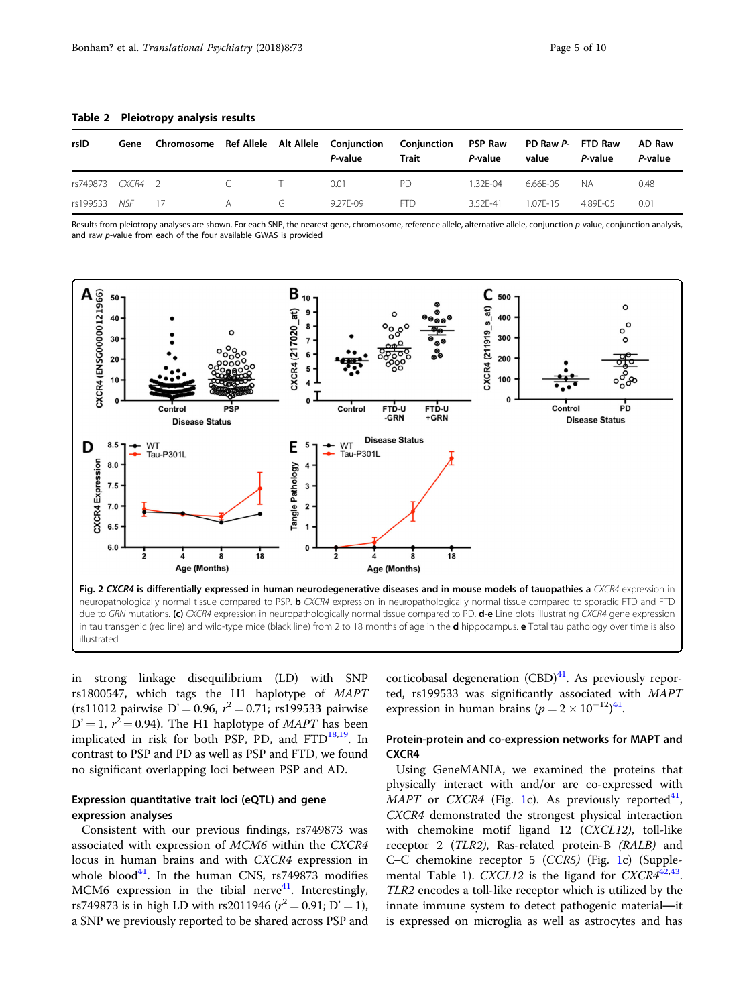| rsID                    | Gene | Chromosome Ref Allele Alt Allele Conjunction |                |                            | P-value  | Conjunction<br>Trait | PSP Raw<br>P-value | PD Raw P- FTD Raw<br>value | P-value  | AD Raw<br>P-value |
|-------------------------|------|----------------------------------------------|----------------|----------------------------|----------|----------------------|--------------------|----------------------------|----------|-------------------|
| rs749873 <i>CXCR4</i> 2 |      |                                              | $\overline{C}$ |                            | 0.01     | <b>PD</b>            | $1.32F - 04$       | $6.66F - 0.5$              | ΝA       | 0.48              |
| rs199533 NSF            |      | 17                                           | A              | $\mathcal{L}_{\mathsf{L}}$ | 9.27F-09 | <b>FTD</b>           | 3.52F-41           | 1.07F-15                   | 4.89F-05 | 0.01              |

<span id="page-4-0"></span>Table 2 Pleiotropy analysis results

Results from pleiotropy analyses are shown. For each SNP, the nearest gene, chromosome, reference allele, alternative allele, conjunction p-value, conjunction analysis, and raw p-value from each of the four available GWAS is provided



in strong linkage disequilibrium (LD) with SNP rs1800547, which tags the H1 haplotype of MAPT (rs11012 pairwise D' = 0.96,  $r^2 = 0.71$ ; rs199533 pairwise<br>D' – 1,  $r^2 = 0.94$ ). The H1 haplotype of *MAPT* has been  $D' = 1$ ,  $r^2 = 0.94$ ). The H1 haplotype of *MAPT* has been<br>implicated in risk for both PSP PD and  $FTD^{18,19}$  In implicated in risk for both PSP, PD, and  $FTD^{18,19}$ . In contrast to PSP and PD as well as PSP and FTD, we found no significant overlapping loci between PSP and AD.

# Expression quantitative trait loci (eQTL) and gene expression analyses

Consistent with our previous findings, rs749873 was associated with expression of MCM6 within the CXCR4 locus in human brains and with CXCR4 expression in whole blood<sup>[41](#page-8-0)</sup>. In the human CNS,  $rs749873$  modifies MCM6 expression in the tibial nerve $41$ . Interestingly, rs749873 is in high LD with rs2011946  $(r^2 = 0.91; D' = 1)$ ,<br>a SNP we previously reported to be shared across PSP and a SNP we previously reported to be shared across PSP and corticobasal degeneration  $(CBD)^{41}$ . As previously reported, rs199533 was significantly associated with MAPT expression in human brains  $(p = 2 \times 10^{-12})^{41}$  $(p = 2 \times 10^{-12})^{41}$  $(p = 2 \times 10^{-12})^{41}$ .

### Protein-protein and co-expression networks for MAPT and CXCR4

Using GeneMANIA, we examined the proteins that physically interact with and/or are co-expressed with MAPT or CXCR4 (Fig. [1c](#page-3-0)). As previously reported $41$ , CXCR4 demonstrated the strongest physical interaction with chemokine motif ligand 12 (CXCL12), toll-like receptor 2 (TLR2), Ras-related protein-B (RALB) and <sup>C</sup>–C chemokine receptor 5 (CCR5) (Fig. [1](#page-3-0)c) (Supplemental Table 1). CXCL12 is the ligand for CXCR $4^{42,43}$  $4^{42,43}$  $4^{42,43}$ . TLR2 encodes a toll-like receptor which is utilized by the innate immune system to detect pathogenic material—it is expressed on microglia as well as astrocytes and has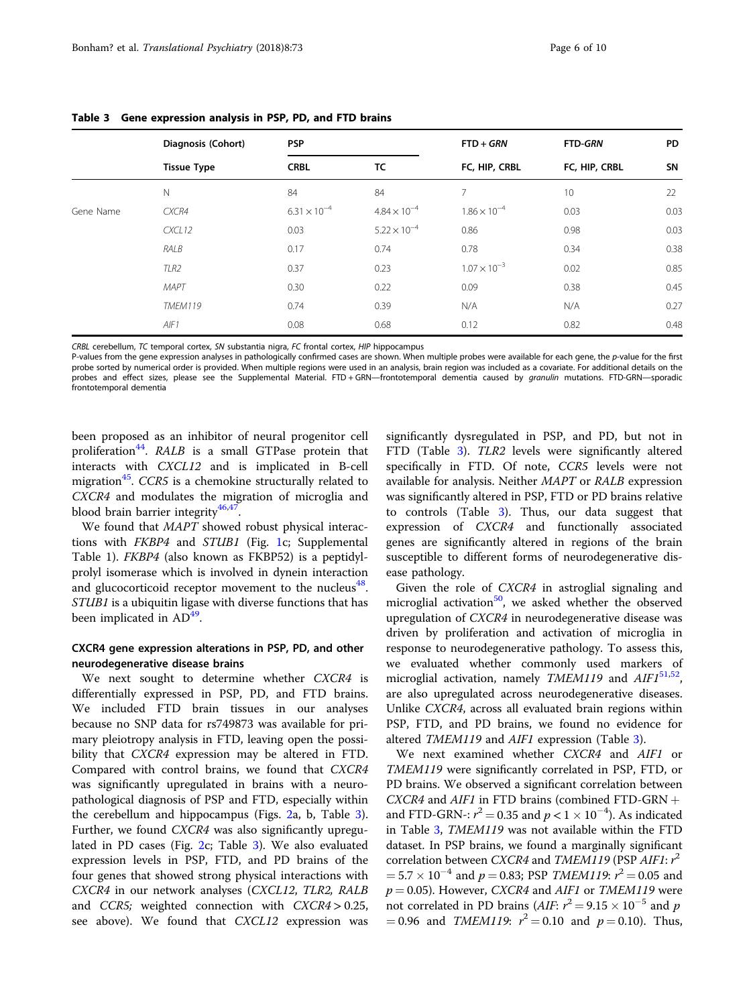|           | Diagnosis (Cohort)<br><b>Tissue Type</b> | <b>PSP</b>            |                       | $FTD + GRN$           | <b>FTD-GRN</b> | PD   |
|-----------|------------------------------------------|-----------------------|-----------------------|-----------------------|----------------|------|
|           |                                          | <b>CRBL</b>           | TC                    | FC, HIP, CRBL         | FC, HIP, CRBL  | SN   |
|           | $\mathsf{N}$                             | 84                    | 84                    | 7                     | 10             | 22   |
| Gene Name | CXCR4                                    | $6.31 \times 10^{-4}$ | $4.84 \times 10^{-4}$ | $1.86 \times 10^{-4}$ | 0.03           | 0.03 |
|           | CXCL12                                   | 0.03                  | $5.22 \times 10^{-4}$ | 0.86                  | 0.98           | 0.03 |
|           | RALB                                     | 0.17                  | 0.74                  | 0.78                  | 0.34           | 0.38 |
|           | TLR2                                     | 0.37                  | 0.23                  | $1.07 \times 10^{-3}$ | 0.02           | 0.85 |
|           | <b>MAPT</b>                              | 0.30                  | 0.22                  | 0.09                  | 0.38           | 0.45 |
|           | TMEM119                                  | 0.74                  | 0.39                  | N/A                   | N/A            | 0.27 |
|           | AlF1                                     | 0.08                  | 0.68                  | 0.12                  | 0.82           | 0.48 |

Table 3 Gene expression analysis in PSP, PD, and FTD brains

CRBL cerebellum, TC temporal cortex, SN substantia nigra, FC frontal cortex, HIP hippocampus<br>P-values from the gene expression analyses in pathologically confirmed cases are shown. When multiple probes were available for e probe sorted by numerical order is provided. When multiple regions were used in an analysis, brain region was included as a covariate. For additional details on the probes and effect sizes, please see the Supplemental Material. FTD + GRN—frontotemporal dementia caused by granulin mutations. FTD-GRN—sporadic frontotemporal dementia

been proposed as an inhibitor of neural progenitor cell proliferation<sup>[44](#page-8-0)</sup>. RALB is a small GTPase protein that interacts with CXCL12 and is implicated in B-cell migration<sup>45</sup>. CCR5 is a chemokine structurally related to CXCR4 and modulates the migration of microglia and blood brain barrier integrity $46,47$  $46,47$ .

We found that MAPT showed robust physical interactions with FKBP4 and STUB1 (Fig. [1c](#page-3-0); Supplemental Table 1). FKBP4 (also known as FKBP52) is a peptidylprolyl isomerase which is involved in dynein interaction and glucocorticoid receptor movement to the nucleus $48$ . STUB1 is a ubiquitin ligase with diverse functions that has been implicated in  $AD<sup>49</sup>$  $AD<sup>49</sup>$  $AD<sup>49</sup>$ .

# CXCR4 gene expression alterations in PSP, PD, and other neurodegenerative disease brains

We next sought to determine whether CXCR4 is differentially expressed in PSP, PD, and FTD brains. We included FTD brain tissues in our analyses because no SNP data for rs749873 was available for primary pleiotropy analysis in FTD, leaving open the possibility that CXCR4 expression may be altered in FTD. Compared with control brains, we found that CXCR4 was significantly upregulated in brains with a neuropathological diagnosis of PSP and FTD, especially within the cerebellum and hippocampus (Figs. [2](#page-4-0)a, b, Table 3). Further, we found CXCR4 was also significantly upregulated in PD cases (Fig. [2](#page-4-0)c; Table 3). We also evaluated expression levels in PSP, FTD, and PD brains of the four genes that showed strong physical interactions with CXCR4 in our network analyses (CXCL12, TLR2, RALB and CCR5; weighted connection with CXCR4 > 0.25, see above). We found that CXCL12 expression was significantly dysregulated in PSP, and PD, but not in FTD (Table 3). TLR2 levels were significantly altered specifically in FTD. Of note, CCR5 levels were not available for analysis. Neither MAPT or RALB expression was significantly altered in PSP, FTD or PD brains relative to controls (Table 3). Thus, our data suggest that expression of CXCR4 and functionally associated genes are significantly altered in regions of the brain susceptible to different forms of neurodegenerative disease pathology.

Given the role of CXCR4 in astroglial signaling and microglial activation<sup>50</sup>, we asked whether the observed upregulation of CXCR4 in neurodegenerative disease was driven by proliferation and activation of microglia in response to neurodegenerative pathology. To assess this, we evaluated whether commonly used markers of microglial activation, namely TMEM119 and AIF1<sup>[51,52](#page-8-0)</sup>, are also upregulated across neurodegenerative diseases. Unlike CXCR4, across all evaluated brain regions within PSP, FTD, and PD brains, we found no evidence for altered TMEM119 and AIF1 expression (Table 3).

We next examined whether CXCR4 and AIF1 or TMEM119 were significantly correlated in PSP, FTD, or PD brains. We observed a significant correlation between  $CXCR4$  and  $AIF1$  in FTD brains (combined FTD-GRN + and FTD-GRN-:  $r^2 = 0.35$  and  $p < 1 \times 10^{-4}$ ). As indicated<br>in Table 3, *TMFM119* was not available within the FTD in Table 3, TMEM119 was not available within the FTD dataset. In PSP brains, we found a marginally significant correlation between CXCR4 and TMEM119 (PSP AIF1:  $r^2$ <br>- 5.7  $\times$  10<sup>-4</sup> and n – 0.83; PSP TMEM119;  $r^2$  – 0.05 and  $= 5.7 \times 10^{-4}$  and  $p = 0.83$ ; PSP *TMEM119*:  $r^2 = 0.05$  and  $p = 0.05$ ) However *CYCPA* and *AIE1* or *TMEM119* were  $p = 0.05$ ). However, CXCR4 and AIF1 or TMEM119 were not correlated in PD brains  $(AIF: r^2 = 9.15 \times 10^{-5}$  and p<br>= 0.96, and *TMEM119*:  $r^2 = 0.10$  and p = 0.10). Thus  $= 0.96$  and *TMEM119*:  $r^2 = 0.10$  and  $p = 0.10$ ). Thus,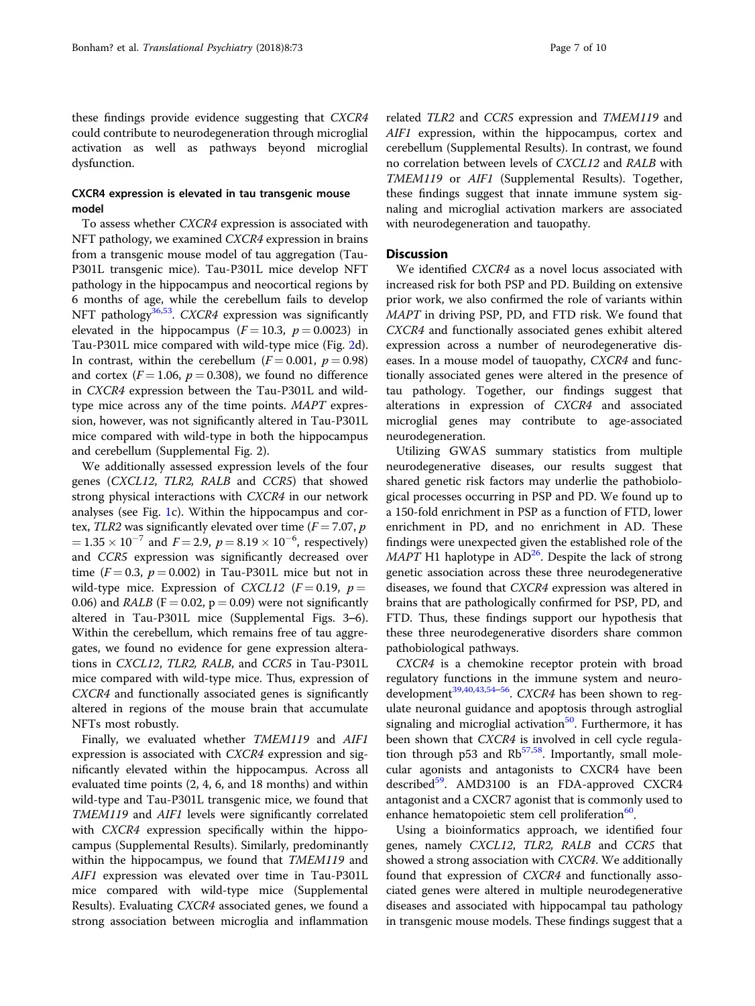these findings provide evidence suggesting that CXCR4 could contribute to neurodegeneration through microglial activation as well as pathways beyond microglial dysfunction.

# CXCR4 expression is elevated in tau transgenic mouse model

To assess whether CXCR4 expression is associated with NFT pathology, we examined CXCR4 expression in brains from a transgenic mouse model of tau aggregation (Tau-P301L transgenic mice). Tau-P301L mice develop NFT pathology in the hippocampus and neocortical regions by 6 months of age, while the cerebellum fails to develop NFT pathology<sup>36,53</sup>. CXCR4 expression was significantly elevated in the hippocampus ( $F = 10.3$ ,  $p = 0.0023$ ) in Tau-P301L mice compared with wild-type mice (Fig. [2](#page-4-0)d). In contrast, within the cerebellum ( $F = 0.001$ ,  $p = 0.98$ ) and cortex ( $F = 1.06$ ,  $p = 0.308$ ), we found no difference in CXCR4 expression between the Tau-P301L and wildtype mice across any of the time points. MAPT expression, however, was not significantly altered in Tau-P301L mice compared with wild-type in both the hippocampus and cerebellum (Supplemental Fig. 2).

We additionally assessed expression levels of the four genes (CXCL12, TLR2, RALB and CCR5) that showed strong physical interactions with CXCR4 in our network analyses (see Fig. [1](#page-3-0)c). Within the hippocampus and cortex, TLR2 was significantly elevated over time ( $F = 7.07$ ,  $p$ )  $= 1.35 \times 10^{-7}$  and  $F = 2.9$ ,  $p = 8.19 \times 10^{-6}$ , respectively) and CCR5 expression was significantly decreased over time  $(F = 0.3, p = 0.002)$  in Tau-P301L mice but not in wild-type mice. Expression of CXCL12 ( $F = 0.19$ ,  $p =$ 0.06) and *RALB* ( $F = 0.02$ ,  $p = 0.09$ ) were not significantly altered in Tau-P301L mice (Supplemental Figs. 3–6). Within the cerebellum, which remains free of tau aggregates, we found no evidence for gene expression alterations in CXCL12, TLR2, RALB, and CCR5 in Tau-P301L mice compared with wild-type mice. Thus, expression of CXCR4 and functionally associated genes is significantly altered in regions of the mouse brain that accumulate NFTs most robustly.

Finally, we evaluated whether TMEM119 and AIF1 expression is associated with CXCR4 expression and significantly elevated within the hippocampus. Across all evaluated time points (2, 4, 6, and 18 months) and within wild-type and Tau-P301L transgenic mice, we found that TMEM119 and AIF1 levels were significantly correlated with *CXCR4* expression specifically within the hippocampus (Supplemental Results). Similarly, predominantly within the hippocampus, we found that TMEM119 and AIF1 expression was elevated over time in Tau-P301L mice compared with wild-type mice (Supplemental Results). Evaluating CXCR4 associated genes, we found a strong association between microglia and inflammation related TLR2 and CCR5 expression and TMEM119 and AIF1 expression, within the hippocampus, cortex and cerebellum (Supplemental Results). In contrast, we found no correlation between levels of CXCL12 and RALB with TMEM119 or AIF1 (Supplemental Results). Together, these findings suggest that innate immune system signaling and microglial activation markers are associated with neurodegeneration and tauopathy.

# **Discussion**

We identified CXCR4 as a novel locus associated with increased risk for both PSP and PD. Building on extensive prior work, we also confirmed the role of variants within MAPT in driving PSP, PD, and FTD risk. We found that CXCR4 and functionally associated genes exhibit altered expression across a number of neurodegenerative diseases. In a mouse model of tauopathy, CXCR4 and functionally associated genes were altered in the presence of tau pathology. Together, our findings suggest that alterations in expression of CXCR4 and associated microglial genes may contribute to age-associated neurodegeneration.

Utilizing GWAS summary statistics from multiple neurodegenerative diseases, our results suggest that shared genetic risk factors may underlie the pathobiological processes occurring in PSP and PD. We found up to a 150-fold enrichment in PSP as a function of FTD, lower enrichment in PD, and no enrichment in AD. These findings were unexpected given the established role of the MAPT H1 haplotype in  $AD^{26}$ . Despite the lack of strong genetic association across these three neurodegenerative diseases, we found that CXCR4 expression was altered in brains that are pathologically confirmed for PSP, PD, and FTD. Thus, these findings support our hypothesis that these three neurodegenerative disorders share common pathobiological pathways.

CXCR4 is a chemokine receptor protein with broad regulatory functions in the immune system and neurodevelopment $39,40,43,54-56$  $39,40,43,54-56$  $39,40,43,54-56$  $39,40,43,54-56$  $39,40,43,54-56$  $39,40,43,54-56$  $39,40,43,54-56$  $39,40,43,54-56$  $39,40,43,54-56$ . CXCR4 has been shown to regulate neuronal guidance and apoptosis through astroglial signaling and microglial activation<sup>[50](#page-8-0)</sup>. Furthermore, it has been shown that CXCR4 is involved in cell cycle regulation through p53 and  $Rb^{57,58}$  $Rb^{57,58}$  $Rb^{57,58}$ . Importantly, small molecular agonists and antagonists to CXCR4 have been described<sup>59</sup>. AMD3100 is an FDA-approved CXCR4 antagonist and a CXCR7 agonist that is commonly used to enhance hematopoietic stem cell proliferation<sup>60</sup>.

Using a bioinformatics approach, we identified four genes, namely CXCL12, TLR2, RALB and CCR5 that showed a strong association with CXCR4. We additionally found that expression of CXCR4 and functionally associated genes were altered in multiple neurodegenerative diseases and associated with hippocampal tau pathology in transgenic mouse models. These findings suggest that a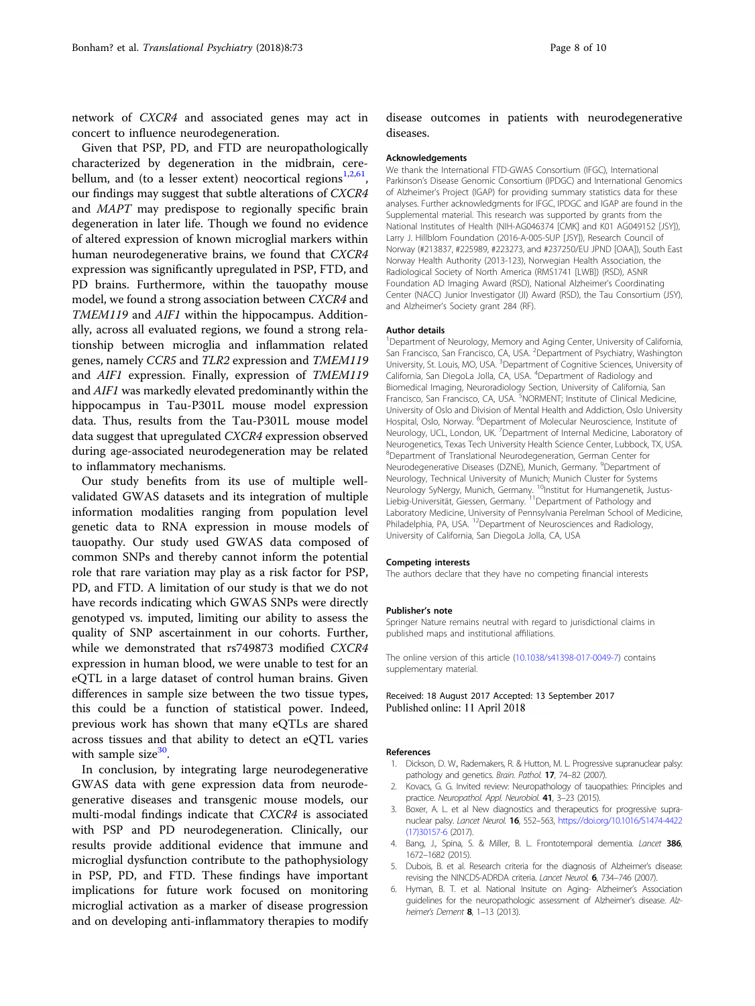<span id="page-7-0"></span>network of CXCR4 and associated genes may act in concert to influence neurodegeneration.

Given that PSP, PD, and FTD are neuropathologically characterized by degeneration in the midbrain, cerebellum, and (to a lesser extent) neocortical regions $1,2,61$  $1,2,61$ , our findings may suggest that subtle alterations of CXCR4 and MAPT may predispose to regionally specific brain degeneration in later life. Though we found no evidence of altered expression of known microglial markers within human neurodegenerative brains, we found that CXCR4 expression was significantly upregulated in PSP, FTD, and PD brains. Furthermore, within the tauopathy mouse model, we found a strong association between CXCR4 and TMEM119 and AIF1 within the hippocampus. Additionally, across all evaluated regions, we found a strong relationship between microglia and inflammation related genes, namely CCR5 and TLR2 expression and TMEM119 and AIF1 expression. Finally, expression of TMEM119 and AIF1 was markedly elevated predominantly within the hippocampus in Tau-P301L mouse model expression data. Thus, results from the Tau-P301L mouse model data suggest that upregulated CXCR4 expression observed during age-associated neurodegeneration may be related to inflammatory mechanisms.

Our study benefits from its use of multiple wellvalidated GWAS datasets and its integration of multiple information modalities ranging from population level genetic data to RNA expression in mouse models of tauopathy. Our study used GWAS data composed of common SNPs and thereby cannot inform the potential role that rare variation may play as a risk factor for PSP, PD, and FTD. A limitation of our study is that we do not have records indicating which GWAS SNPs were directly genotyped vs. imputed, limiting our ability to assess the quality of SNP ascertainment in our cohorts. Further, while we demonstrated that rs749873 modified CXCR4 expression in human blood, we were unable to test for an eQTL in a large dataset of control human brains. Given differences in sample size between the two tissue types, this could be a function of statistical power. Indeed, previous work has shown that many eQTLs are shared across tissues and that ability to detect an eQTL varies with sample size $30$ .

In conclusion, by integrating large neurodegenerative GWAS data with gene expression data from neurodegenerative diseases and transgenic mouse models, our multi-modal findings indicate that CXCR4 is associated with PSP and PD neurodegeneration. Clinically, our results provide additional evidence that immune and microglial dysfunction contribute to the pathophysiology in PSP, PD, and FTD. These findings have important implications for future work focused on monitoring microglial activation as a marker of disease progression and on developing anti-inflammatory therapies to modify disease outcomes in patients with neurodegenerative diseases.

#### Acknowledgements

We thank the International FTD-GWAS Consortium (IFGC), International Parkinson's Disease Genomic Consortium (IPDGC) and International Genomics of Alzheimer's Project (IGAP) for providing summary statistics data for these analyses. Further acknowledgments for IFGC, IPDGC and IGAP are found in the Supplemental material. This research was supported by grants from the National Institutes of Health (NIH-AG046374 [CMK] and K01 AG049152 [JSY]), Larry J. Hillblom Foundation (2016-A-005-SUP [JSY]), Research Council of Norway (#213837, #225989, #223273, and #237250/EU JPND [OAA]), South East Norway Health Authority (2013-123), Norwegian Health Association, the Radiological Society of North America (RMS1741 [LWB]) (RSD), ASNR Foundation AD Imaging Award (RSD), National Alzheimer's Coordinating Center (NACC) Junior Investigator (JI) Award (RSD), the Tau Consortium (JSY), and Alzheimer's Society grant 284 (RF).

#### Author details

<sup>1</sup>Department of Neurology, Memory and Aging Center, University of California, San Francisco, San Francisco, CA, USA. <sup>2</sup>Department of Psychiatry, Washington University, St. Louis, MO, USA. <sup>3</sup> Department of Cognitive Sciences, University of California, San DiegoLa Jolla, CA, USA. <sup>4</sup>Department of Radiology and Biomedical Imaging, Neuroradiology Section, University of California, San Francisco, San Francisco, CA, USA. <sup>5</sup>NORMENT; Institute of Clinical Medicine, University of Oslo and Division of Mental Health and Addiction, Oslo University Hospital, Oslo, Norway. <sup>6</sup>Department of Molecular Neuroscience, Institute of Neurology, UCL, London, UK. <sup>7</sup> Department of Internal Medicine, Laboratory of Neurogenetics, Texas Tech University Health Science Center, Lubbock, TX, USA. 8 Department of Translational Neurodegeneration, German Center for Neurodegenerative Diseases (DZNE), Munich, Germany. <sup>9</sup>Department of Neurology, Technical University of Munich; Munich Cluster for Systems Neurology SyNergy, Munich, Germany. <sup>10</sup>Institut for Humangenetik, Justus-Liebig-Universität, Giessen, Germany. <sup>11</sup>Department of Pathology and Laboratory Medicine, University of Pennsylvania Perelman School of Medicine, Philadelphia, PA, USA. <sup>12</sup>Department of Neurosciences and Radiology, University of California, San DiegoLa Jolla, CA, USA

#### Competing interests

The authors declare that they have no competing financial interests

#### Publisher's note

Springer Nature remains neutral with regard to jurisdictional claims in published maps and institutional affiliations.

The online version of this article ([10.1038/s41398-017-0049-7\)](https://doi.org/10.1038/s41398-017-0049-7) contains supplementary material.

Received: 18 August 2017 Accepted: 13 September 2017

#### References

- 1. Dickson, D. W., Rademakers, R. & Hutton, M. L. Progressive supranuclear palsy: pathology and genetics. Brain. Pathol. 17, 74-82 (2007).
- 2. Kovacs, G. G. Invited review: Neuropathology of tauopathies: Principles and practice. Neuropathol. Appl. Neurobiol. 41, 3–23 (2015).
- 3. Boxer, A. L. et al New diagnostics and therapeutics for progressive supranuclear palsy. Lancet Neurol. 16, 552–563, [https://doi.org/10.1016/S1474-4422](https://doi.org/10.1016/S1474-4422(17)30157-6) [\(17\)30157-6](https://doi.org/10.1016/S1474-4422(17)30157-6) (2017).
- 4. Bang, J., Spina, S. & Miller, B. L. Frontotemporal dementia. Lancet 386, 1672–1682 (2015).
- 5. Dubois, B. et al. Research criteria for the diagnosis of Alzheimer's disease: revising the NINCDS-ADRDA criteria. Lancet Neurol. 6, 734-746 (2007).
- 6. Hyman, B. T. et al. National Insitute on Aging- Alzheimer's Association guidelines for the neuropathologic assessment of Alzheimer's disease. Alzheimer's Dement **8**, 1-13 (2013).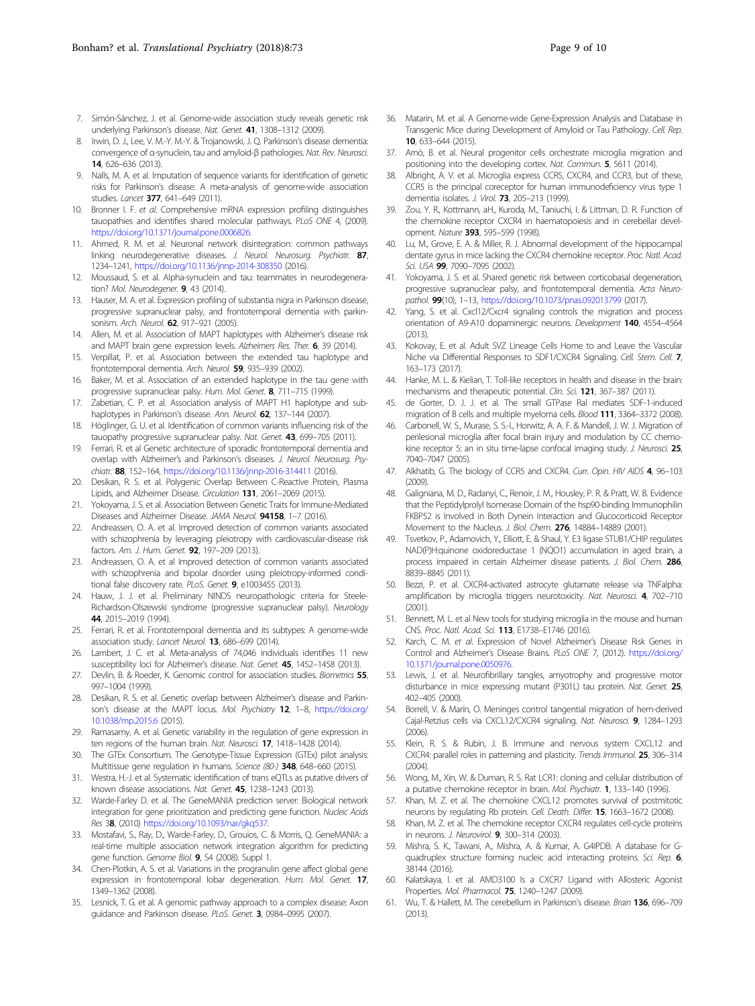- <span id="page-8-0"></span>Irwin, D. J., Lee, V. M.-Y. M.-Y. & Trojanowski, J. Q. Parkinson's disease dementia: convergence of α-synuclein, tau and amyloid-β pathologies. Nat. Rev. Neurosci. 14, 626–636 (2013).
- 9. Nalls, M. A. et al. Imputation of sequence variants for identification of genetic risks for Parkinson's disease: A meta-analysis of genome-wide association studies. Lancet 377, 641-649 (2011).
- 10. Bronner I. F. et al. Comprehensive mRNA expression profiling distinguishes tauopathies and identifies shared molecular pathways. PLoS ONE 4, (2009). <https://doi.org/10.1371/journal.pone.0006826>.
- 11. Ahmed, R. M. et al. Neuronal network disintegration: common pathways linking neurodegenerative diseases. J. Neurol. Neurosurg. Psychiatr. 87. 1234–1241, <https://doi.org/10.1136/jnnp-2014-308350> (2016).
- 12. Moussaud, S. et al. Alpha-synuclein and tau: teammates in neurodegeneration? Mol. Neurodegener. 9, 43 (2014).
- 13. Hauser, M. A. et al. Expression profiling of substantia nigra in Parkinson disease, progressive supranuclear palsy, and frontotemporal dementia with parkinsonism. Arch. Neurol. 62, 917-921 (2005).
- 14. Allen, M. et al. Association of MAPT haplotypes with Alzheimer's disease risk and MAPT brain gene expression levels. Alzheimers Res. Ther. 6, 39 (2014).
- 15. Verpillat, P. et al. Association between the extended tau haplotype and frontotemporal dementia. Arch. Neurol. 59, 935–939 (2002).
- 16. Baker, M. et al. Association of an extended haplotype in the tau gene with progressive supranuclear palsy. Hum. Mol. Genet. 8, 711-715 (1999).
- 17. Zabetian, C. P. et al. Association analysis of MAPT H1 haplotype and subhaplotypes in Parkinson's disease. Ann. Neurol. 62, 137-144 (2007).
- 18. Höglinger, G. U. et al. Identification of common variants influencing risk of the tauopathy progressive supranuclear palsy. Nat. Genet. 43, 699-705 (2011).
- 19. Ferrari, R. et al Genetic architecture of sporadic frontotemporal dementia and overlap with Alzheimer's and Parkinson's diseases. J. Neurol. Neurosurg. Psychiatr. 88, 152–164, <https://doi.org/10.1136/jnnp-2016-314411> (2016).
- 20. Desikan, R. S. et al. Polygenic Overlap Between C-Reactive Protein, Plasma Lipids, and Alzheimer Disease. Circulation 131, 2061–2069 (2015).
- 21. Yokoyama, J. S. et al. Association Between Genetic Traits for Immune-Mediated Diseases and Alzheimer Disease. JAMA Neurol. 94158, 1-7 (2016).
- 22. Andreassen, O. A. et al. Improved detection of common variants associated with schizophrenia by leveraging pleiotropy with cardiovascular-disease risk factors. Am. J. Hum. Genet. 92, 197–209 (2013).
- 23. Andreassen, O. A. et al Improved detection of common variants associated with schizophrenia and bipolar disorder using pleiotropy-informed conditional false discovery rate. PLoS. Genet. 9, e1003455 (2013).
- 24. Hauw, J. J. et al. Preliminary NINDS neuropathologic criteria for Steele-Richardson-Olszewski syndrome (progressive supranuclear palsy). Neurology 44, 2015–2019 (1994).
- 25. Ferrari, R. et al. Frontotemporal dementia and its subtypes: A genome-wide association study. Lancet Neurol. 13, 686-699 (2014).
- 26. Lambert, J. C. et al. Meta-analysis of 74,046 individuals identifies 11 new susceptibility loci for Alzheimer's disease. Nat. Genet. 45, 1452-1458 (2013).
- 27. Devlin, B. & Roeder, K. Genomic control for association studies. Biometrics 55, 997–1004 (1999).
- 28. Desikan, R. S. et al. Genetic overlap between Alzheimer's disease and Parkinson's disease at the MAPT locus. Mol. Psychiatry 12, 1-8, [https://doi.org/](https://doi.org/10.1038/mp.2015.6) [10.1038/mp.2015.6](https://doi.org/10.1038/mp.2015.6) (2015).
- 29. Ramasamy, A. et al. Genetic variability in the regulation of gene expression in ten regions of the human brain. Nat. Neurosci. 17, 1418-1428 (2014).
- 30. The GTEx Consortium. The Genotype-Tissue Expression (GTEx) pilot analysis: Multitissue gene regulation in humans. Science (80-) 348, 648-660 (2015).
- 31. Westra, H.-J. et al. Systematic identification of trans eQTLs as putative drivers of known disease associations. Nat. Genet. **45**, 1238–1243 (2013).
- 32. Warde-Farley D. et al. The GeneMANIA prediction server: Biological network integration for gene prioritization and predicting gene function. Nucleic Acids Res 38, (2010) <https://doi.org/10.1093/nar/gkq537>.
- 33. Mostafavi, S., Ray, D., Warde-Farley, D., Grouios, C. & Morris, Q. GeneMANIA: a real-time multiple association network integration algorithm for predicting gene function. Genome Biol. 9, S4 (2008). Suppl 1.
- 34. Chen-Plotkin, A. S. et al. Variations in the progranulin gene affect global gene expression in frontotemporal lobar degeneration. Hum. Mol. Genet. 17, 1349–1362 (2008).
- 35. Lesnick, T. G. et al. A genomic pathway approach to a complex disease: Axon guidance and Parkinson disease. PLoS. Genet. 3, 0984-0995 (2007).
- 36. Matarin, M. et al. A Genome-wide Gene-Expression Analysis and Database in Transgenic Mice during Development of Amyloid or Tau Pathology. Cell. Rep. 10, 633–644 (2015).
- 37. Arnò, B. et al. Neural progenitor cells orchestrate microglia migration and positioning into the developing cortex. Nat. Commun. 5, 5611 (2014).
- 38. Albright, A. V. et al. Microglia express CCR5, CXCR4, and CCR3, but of these, CCR5 is the principal coreceptor for human immunodeficiency virus type 1 dementia isolates. J. Virol. 73, 205–213 (1999).
- 39. Zou, Y. R., Kottmann, aH., Kuroda, M., Taniuchi, I. & Littman, D. R. Function of the chemokine receptor CXCR4 in haematopoiesis and in cerebellar development. Nature 393, 595–599 (1998).
- 40. Lu, M., Grove, E. A. & Miller, R. J. Abnormal development of the hippocampal dentate gyrus in mice lacking the CXCR4 chemokine receptor. Proc. Natl. Acad. Sci. USA 99, 7090-7095 (2002).
- 41. Yokoyama, J. S. et al. Shared genetic risk between corticobasal degeneration, progressive supranuclear palsy, and frontotemporal dementia. Acta Neuropathol. 99(10), 1-13, <https://doi.org/10.1073/pnas.092013799> (2017)
- 42. Yang, S. et al. Cxcl12/Cxcr4 signaling controls the migration and process orientation of A9-A10 dopaminergic neurons. Development 140, 4554-4564 (2013).
- 43. Kokovay, E. et al. Adult SVZ Lineage Cells Home to and Leave the Vascular Niche via Differential Responses to SDF1/CXCR4 Signaling. Cell. Stem. Cell. 7, 163–173 (2017).
- 44. Hanke, M. L. & Kielian, T. Toll-like receptors in health and disease in the brain: mechanisms and therapeutic potential. Clin. Sci. 121, 367-387 (2011).
- 45. de Gorter, D. J. J. et al. The small GTPase Ral mediates SDF-1-induced migration of B cells and multiple myeloma cells. Blood 111, 3364–3372 (2008).
- Carbonell, W. S., Murase, S. S.-I., Horwitz, A. A. F. & Mandell, J. W. J. Migration of perilesional microglia after focal brain injury and modulation by CC chemokine receptor 5: an in situ time-lapse confocal imaging study. J. Neurosci. 25, 7040–7047 (2005).
- 47. Alkhatib, G. The biology of CCR5 and CXCR4. Curr. Opin. HIV AIDS 4, 96-103  $(2009)$
- 48. Galigniana, M. D., Radanyi, C., Renoir, J. M., Housley, P. R. & Pratt, W. B. Evidence that the Peptidylprolyl Isomerase Domain of the hsp90-binding Immunophilin FKBP52 is Involved in Both Dynein Interaction and Glucocorticoid Receptor Movement to the Nucleus. J. Biol. Chem. 276, 14884–14889 (2001).
- 49. Tsvetkov, P., Adamovich, Y., Elliott, E. & Shaul, Y. E3 ligase STUB1/CHIP regulates NAD(P)H:quinone oxidoreductase 1 (NQO1) accumulation in aged brain, a process impaired in certain Alzheimer disease patients. J. Biol. Chem. 286, 8839–8845 (2011).
- 50. Bezzi, P. et al. CXCR4-activated astrocyte glutamate release via TNFalpha: amplification by microglia triggers neurotoxicity. Nat. Neurosci. 4, 702-710 (2001).
- 51. Bennett, M. L. et al New tools for studying microglia in the mouse and human CNS. Proc. Natl. Acad. Sci. 113, E1738–E1746 (2016).
- 52. Karch, C. M. et al. Expression of Novel Alzheimer's Disease Risk Genes in Control and Alzheimer's Disease Brains. PLoS ONE 7, (2012). [https://doi.org/](https://doi.org/10.1371/journal.pone.0050976) [10.1371/journal.pone.0050976](https://doi.org/10.1371/journal.pone.0050976).
- 53. Lewis, J. et al. Neurofibrillary tangles, amyotrophy and progressive motor disturbance in mice expressing mutant (P301L) tau protein. Nat. Genet. 25, 402–405 (2000).
- 54. Borrell, V. & Marín, O. Meninges control tangential migration of hem-derived Cajal-Retzius cells via CXCL12/CXCR4 signaling. Nat. Neurosci. 9, 1284–1293  $(2006)$
- Klein, R. S. & Rubin, J. B. Immune and nervous system CXCL12 and CXCR4: parallel roles in patterning and plasticity. Trends Immunol. 25, 306–314 (2004).
- 56. Wong, M., Xin, W. & Duman, R. S. Rat LCR1: cloning and cellular distribution of a putative chemokine receptor in brain. Mol. Psychiatr. 1, 133–140 (1996).
- 57. Khan, M. Z. et al. The chemokine CXCL12 promotes survival of postmitotic neurons by regulating Rb protein. Cell. Death. Differ. 15, 1663–1672 (2008).
- 58. Khan, M. Z. et al. The chemokine receptor CXCR4 regulates cell-cycle proteins in neurons. J. Neurovirol. 9, 300–314 (2003).
- 59. Mishra, S. K., Tawani, A., Mishra, A. & Kumar, A. G4IPDB: A database for Gquadruplex structure forming nucleic acid interacting proteins. Sci. Rep. 6, 38144 (2016).
- 60. Kalatskaya, I. et al. AMD3100 Is a CXCR7 Ligand with Allosteric Agonist Properties. Mol. Pharmacol. 75, 1240-1247 (2009).
- 61. Wu, T. & Hallett, M. The cerebellum in Parkinson's disease. Brain 136, 696–709 (2013).